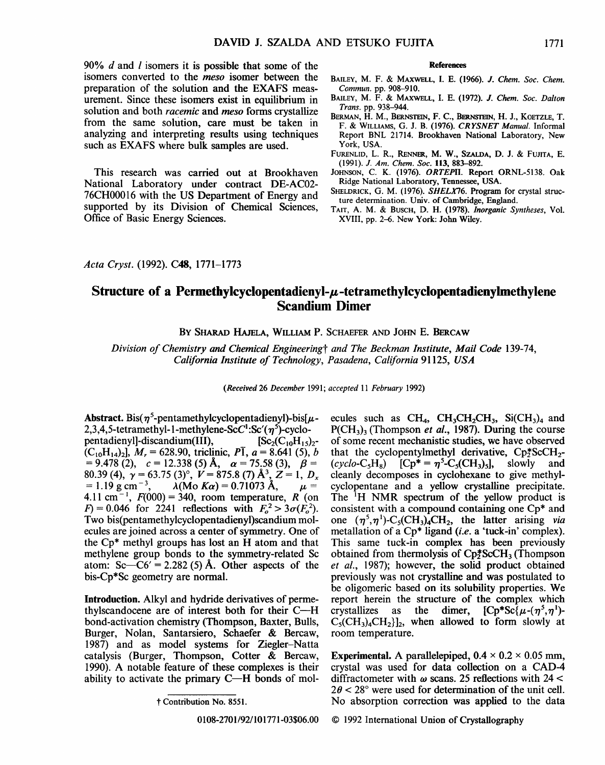90% *d* and *l* isomers it is possible that some of the isomers converted to the *meso* isomer between the preparation of the solution and the EXAFS measurement. Since these isomers exist in equilibrium in solution and both *racemic* and *meso* forms crystallize from the same solution, care must be taken in analyzing and interpreting results using techniques such as EXAFS where bulk samples are used.

This research was carried out at Brookhaven National Laboratory under contract DE-AC02- 76CH00016 with the US Department of Energy and supported by its Division of Chemical Sciences, Office of Basic Energy Sciences.

## References

- BAILEY, M. F. & MAXWELL, I. E. (1966). J. *Chem. Soc. Chem. Commun.* pp. 908-910.
- BAILEY, M. F. & MAXWELL, I. E. (1972). J. *Chem. Soc. Dalton Trans.* pp. 938-944.
- BERMAN, H. M., BERNSTEIN, F. C., BERNSTEIN, H. J., KOETZLE, T. F. & WILLIAMS, G. J. B. (1976). *CRYSNET Manual.* Informal Report BNL 21714. Brookhaven National Laboratory, New York, USA.
- FURENLID, L. R., RENNER, M. w., SZALDA, D. J. & FUJITA, E. (1991). J. *Am. Chem. Soc.* ll3, 883-892.
- JOHNSON, C. K. (1976). *ORTEPII.* Report ORNL-5138. Oak Ridge National Laboratory, Tennessee, USA.
- SHELDRICK, G. M. (1976). *SHELX76.* Program for crystal structure determination. Univ. of Cambridge, England.
- TAIT, A. M. & BUSCH, D. H. (1978). *Inorganic Syntheses,* Vol. XVIII, pp. 2-6. New York: John Wiley.

*Acta Cryst.* (1992). C48, 1771-1773

## **Structure of a Permethylcyclopentadienyl-µ-tetramethylcyclopentadienylmethylene Scandium Dimer**

BY SHARAD HAJELA, WILLIAM P. SCHAEFER AND JOHN E. BERCAW

*Division of Chemistry and Chemical Engineeringt and The Beckman Institute, Mail Code* 139-74, *California Institute of Technology, Pasadena, California* 91125, *USA* 

*(Received* 26 *December* 1991; *accepted* 11 *February* 1992)

Abstract. Bis( $\eta^5$ -pentamethylcyclopentadienyl)-bis[ $\mu$ -2,3,4,5-tetramethyl-1-methylene-Sc $C^1$ :Sc'( $\eta^5$ )-cyclopentadienyl]-discandium(III),  $[Sc_2(C_{10}H_{15})_2$ - $(C_{10}H_{14})$ ,  $M_r = 628.90$ , triclinic,  $P\overline{1}$ ,  $a = 8.641(5)$ , *b*  $= 9.478$  (2),  $c = 12.338$  (5) Å,  $\alpha = 75.58$  (3),  $\beta =$ 80.39 (4),  $\gamma = 63.75 \,(3)^\circ$ ,  $V = 875.8 \,(7) \, \text{\AA}^3$ ,  $Z = 1, D_x$  $= 1.19 \text{ g cm}^{-3}$ ,  $\lambda(Mo K\alpha) = 0.71073 \text{ Å}$ ,  $\mu =$ 4.11 cm<sup>-1</sup>,  $F(000) = 340$ , room temperature, R (on  $F = 0.046$  for 2241 reflections with  $F_o^2 > 3\sigma(\hat{F}_o^2)$ . Two bis(pentamethylcyclopentadienyl)scandium molecules are joined across a center of symmetry. One of the Cp\* methyl groups has lost an H atom and that methylene group bonds to the symmetry-related Sc atom:  $Sc - C6' = 2.282(5)$  Å. Other aspects of the bis-Cp\*Sc geometry are normal.

Introduction. Alkyl and hydride derivatives of permethylscandocene are of interest both for their  $C-H$ bond-activation chemistry (Thompson, Baxter, Bulls, Burger, Nolan, Santarsiero, Schaefer & Bercaw, 1987) and as model systems for Ziegler-Natta catalysis (Burger, Thompson, Cotter & Bercaw, 1990). A notable feature of these complexes is their ability to activate the primary  $C-H$  bonds of mol-

0108-2701/92/101771-03\$06.00

Experimental. A parallelepiped,  $0.4 \times 0.2 \times 0.05$  mm, crystal was used for data collection on a CAD-4 diffractometer with  $\omega$  scans. 25 reflections with 24 <  $2\theta$  < 28° were used for determination of the unit cell. No absorption correction was applied to the data

© 1992 International Union of Crystallography

t Contribution No. 8551.

ecules such as  $CH_4$ ,  $CH_3CH_2CH_3$ ,  $Si(CH_3)_4$  and  $P(CH<sub>3</sub>)<sub>3</sub>$  (Thompson *et al.*, 1987). During the course of some recent mechanistic studies, we have observed that the cyclopentylmethyl derivative,  $\text{Cp}^*_2\text{ScCH}_2$ - $(cyclo-C<sub>5</sub>H<sub>8</sub>)$   $[CP^* = \eta^5-C_5(CH_3)_5]$ , slowly and cleanly decomposes in cyclohexane to give methylcyclopentane and a yellow crystalline precipitate. The <sup>1</sup>H NMR spectrum of the yellow product is consistent with a compound containing one Cp\* and one  $(\eta^5, \eta^1)$ -C<sub>5</sub>(CH<sub>3</sub>)<sub>4</sub>CH<sub>2</sub>, the latter arising *via* metallation of a Cp\* ligand *(i.e.* a 'tuck-in' complex). This same tuck-in complex has been previously obtained from thermolysis of  $\text{Cp}^*_2\text{ScCH}_3$  (Thompson *et al.,* 1987); however, the solid product obtained previously was not crystalline and was postulated to be oligomeric based on its solubility properties. We report herein the structure of the complex which crystallizes as the dimer,  $[CP^*Sc\{\mu-(\eta^5,\eta^1)\}]$  $C_5(CH_3)_4CH_2$ , when allowed to form slowly at room temperature.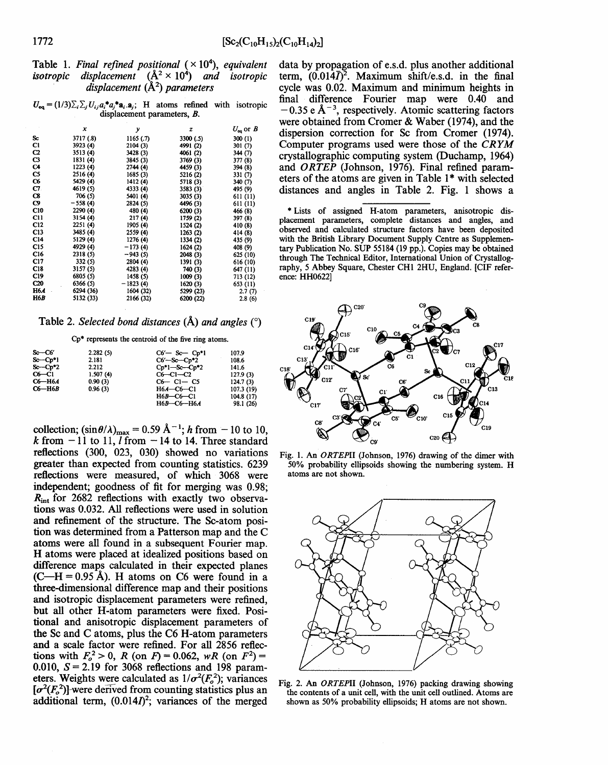|                                   | Table 1. Final refined positional $(\times 10^4)$ , equivalent         |  |  |  |  |
|-----------------------------------|------------------------------------------------------------------------|--|--|--|--|
|                                   | <i>isotropic displacement</i> $(A^2 \times 10^4)$ <i>and isotropic</i> |  |  |  |  |
| displacement $(\AA^2)$ parameters |                                                                        |  |  |  |  |

| $U_{eq} = (1/3)\sum_i \sum_j U_{ij} a_i^* a_j^* a_i \cdot a_j$ ; H atoms refined with isotropic |  |  |  |  |  |
|-------------------------------------------------------------------------------------------------|--|--|--|--|--|
| displacement parameters, B.                                                                     |  |  |  |  |  |

|              | x         | y          | z         | $U_{eq}$ or $B$ |
|--------------|-----------|------------|-----------|-----------------|
| Sc           | 3717 (.8) | 1165(.7)   | 3300 (.5) | 300(1)          |
| Cl           | 3923 (4)  | 2104(3)    | 4991 (2)  | 301 (7)         |
| $_{\rm c2}$  | 3513 (4)  | 3428 (3)   | 4061 (2)  | 344 (7)         |
| C3           | 1831 (4)  | 3845 (3)   | 3769 (3)  | 377 (8)         |
| C4           | 1223 (4)  | 2744 (4)   | 4459 (3)  | 394 (8)         |
| CS           | 2516 (4)  | 1685 (3)   | 5216 (2)  | 331 (7)         |
| $\infty$     | 5429 (4)  | 1412(4)    | 5718 (3)  | 340 (7)         |
| C7.          | 4619 (5)  | 4333 (4)   | 3583 (3)  | 495 (9)         |
| C8           | 706(5)    | 5401 (4)   | 3035 (3)  | 611(11)         |
| C9           | $-558(4)$ | 2824 (5)   | 4496 (3)  | 611 (11)        |
| C10          | 2290 (4)  | 480 (4)    | 6200 (3)  | 466 (8)         |
| C11          | 3154 (4)  | 217(4)     | 1759 (2)  | 397 (8)         |
| <b>C12</b>   | 2251 (4)  | 1905 (4)   | 1524 (2)  | 410 (8)         |
| C13          | 3485 (4)  | 2559 (4)   | 1263(2)   | 414 (8)         |
| <b>C14</b>   | 5129 (4)  | 1276 (4)   | 1334 (2)  | 435 (9)         |
| C15          | 4929 (4)  | $-173(4)$  | 1624 (2)  | 408 (9)         |
| C16          | 2318 (5)  | -943 (5)   | 2048 (3)  | 625 (10)        |
| C17          | 332(5)    | 2804 (4)   | 1391 (3)  | 616 (10)        |
| C18          | 3157 (5)  | 4283 (4)   | 740 (3)   | 647 (11)        |
| C19          | 6805 (5)  | 1458 (5)   | 1009(3)   | 713 (12)        |
| $_{\rm c20}$ | 6366 (5)  | $-1823(4)$ | 1620(3)   | 653 (11)        |
| H6 <i>A</i>  | 6294 (36) | 1604 (32)  | 5299 (23) | 2.7(7)          |
| H6B          | 5132 (33) | 2166 (32)  | 6200 (22) | 2.8(6)          |

Table 2. *Selected bond distances* (A) *and angles* ( 0 )

Cp\* represents the centroid of the five ring atoms.

| $S_0-C6'$              | 2.282(5) | $C6'$ - Sc - $Cp*1$ | 107.9     |
|------------------------|----------|---------------------|-----------|
| $Sc - Cp*1$            | 2.181    | $C6'$ —Sc— $Cp*2$   | 108.6     |
| $Sc$ -Cp <sup>*2</sup> | 2.212    | $Cp*1-Sc-Cp*2$      | 141.6     |
| $C6-C1$                | 1.507(4) | $C6-C1-C2$          | 127.9(3)  |
| С6—Н6А                 | 0.90(3)  | $C6 - C1 - C5$      | 124.7(3)  |
| C6-H6B                 | 0.96(3)  | H6A-C6-C1           | 107.3(19) |
|                        |          | $H6B-C6-C1$         | 104.8(17) |
|                        |          | $H6B$ -C6-H6A       | 98.1 (26) |

collection;  $(\sin \theta / \lambda)_{\text{max}} = 0.59 \text{ Å}^{-1}$ ; *h* from  $-10$  to 10, k from  $-11$  to 11, *l* from  $-14$  to 14. Three standard reflections (300, 023, 030) showed no variations greater than expected from counting statistics. 6239 reflections were measured, of which 3068 were independent; goodness of fit for merging was 0.98;  $R_{\text{int}}$  for 2682 reflections with exactly two observations was 0.032. All reflections were used in solution and refinement of the structure. The Sc-atom position was determined from a Patterson map and the C atoms were all found in a subsequent Fourier map. H atoms were placed at idealized positions based on difference maps calculated in their expected planes  $(C-H = 0.95 \text{ Å})$ . H atoms on C6 were found in a three-dimensional difference map and their positions and isotropic displacement parameters were refined, but all other H-atom parameters were fixed. Positional and anisotropic displacement parameters of the Sc and C atoms, plus the C6 H-atom parameters and a scale factor were refined. For all 2856 reflections with  $F_o^2 > 0$ , *R* (on *F*) = 0.062, *wR* (on *F*<sup>2</sup>) = 0.010,  $S = 2.19$  for 3068 reflections and 198 parameters. Weights were calculated as  $1/\sigma^2(F_o^2)$ ; variances  $[\sigma^2(F_o^2)]$  were derived from counting statistics plus an additional term,  $(0.014*I*)<sup>2</sup>$ ; variances of the merged

data by propagation of e.s.d. plus another additional term,  $(0.014\overline{I})^2$ . Maximum shift/e.s.d. in the final cycle was 0.02. Maximum and minimum heights in final difference Fourier map were 0.40 and  $-0.35$  e Å<sup>-3</sup>, respectively. Atomic scattering factors were obtained from Cromer & Waber (1974), and the dispersion correction for Sc from Cromer (1974). Computer programs used were those of the *CRYM*  crystallographic computing system (Duchamp, 1964) and ORTEP (Johnson, 1976). Final refined parameters of the atoms are given in Table  $1*$  with selected distances and angles in Table 2. Fig. 1 shows a

\*Lists of assigned H-atom parameters, anisotropic displacement parameters, complete distances and angles, and observed and calculated structure factors have been deposited with the British Library Document Supply Centre as Supplementary Publication No. SUP 55184 (19 pp.). Copies may be obtained through The Technical Editor, International Union of Crystallography, *5* Abbey Square, Chester CHI 2HU, England. [CIF reference: HH0622]



Fig. 1. An *ORTEPII* (Johnson, 1976) drawing of the dimer with 50% probability ellipsoids showing the numbering system. H atoms are not shown.



Fig. 2. An *ORTEPII* (Johnson, 1976) packing drawing showing the contents of a unit cell, with the unit cell outlined. Atoms are shown as 50% probability ellipsoids; H atoms are not shown.